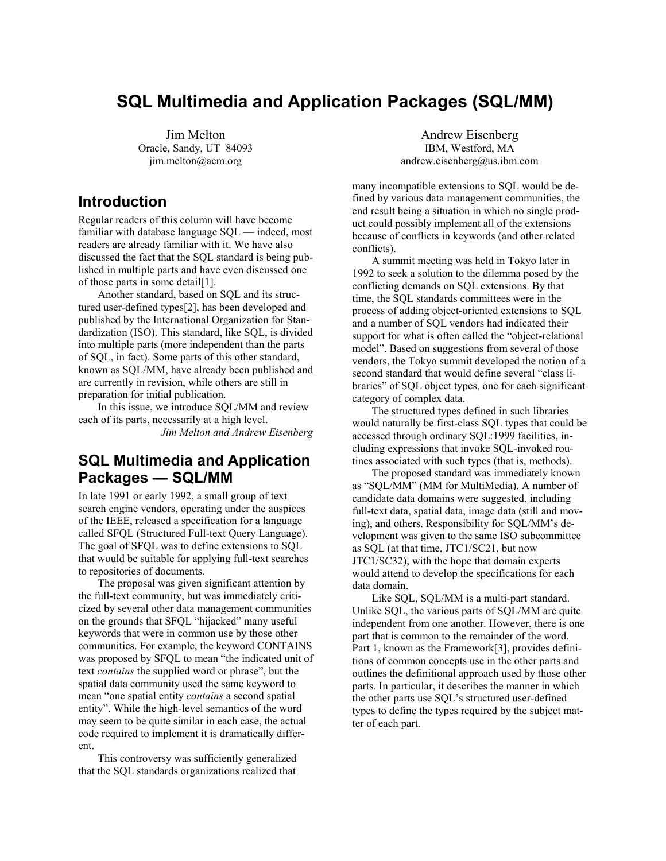# **SQL Multimedia and Application Packages (SQL/MM)**

Jim Melton Oracle, Sandy, UT 84093 jim.melton@acm.org

## **Introduction**

Regular readers of this column will have become familiar with database language SQL — indeed, most readers are already familiar with it. We have also discussed the fact that the SQL standard is being published in multiple parts and have even discussed one of those parts in some detail[1].

Another standard, based on SQL and its structured user-defined types[2], has been developed and published by the International Organization for Standardization (ISO). This standard, like SQL, is divided into multiple parts (more independent than the parts of SQL, in fact). Some parts of this other standard, known as SQL/MM, have already been published and are currently in revision, while others are still in preparation for initial publication.

In this issue, we introduce SQL/MM and review each of its parts, necessarily at a high level. *Jim Melton and Andrew Eisenberg* 

# **SQL Multimedia and Application Packages — SQL/MM**

In late 1991 or early 1992, a small group of text search engine vendors, operating under the auspices of the IEEE, released a specification for a language called SFQL (Structured Full-text Query Language). The goal of SFQL was to define extensions to SQL that would be suitable for applying full-text searches to repositories of documents.

The proposal was given significant attention by the full-text community, but was immediately criticized by several other data management communities on the grounds that SFQL "hijacked" many useful keywords that were in common use by those other communities. For example, the keyword CONTAINS was proposed by SFQL to mean "the indicated unit of text *contains* the supplied word or phrase", but the spatial data community used the same keyword to mean "one spatial entity *contains* a second spatial entity". While the high-level semantics of the word may seem to be quite similar in each case, the actual code required to implement it is dramatically different.

This controversy was sufficiently generalized that the SQL standards organizations realized that

Andrew Eisenberg IBM, Westford, MA andrew.eisenberg@us.ibm.com

many incompatible extensions to SQL would be defined by various data management communities, the end result being a situation in which no single product could possibly implement all of the extensions because of conflicts in keywords (and other related conflicts).

A summit meeting was held in Tokyo later in 1992 to seek a solution to the dilemma posed by the conflicting demands on SQL extensions. By that time, the SQL standards committees were in the process of adding object-oriented extensions to SQL and a number of SQL vendors had indicated their support for what is often called the "object-relational model". Based on suggestions from several of those vendors, the Tokyo summit developed the notion of a second standard that would define several "class libraries" of SQL object types, one for each significant category of complex data.

The structured types defined in such libraries would naturally be first-class SQL types that could be accessed through ordinary SQL:1999 facilities, including expressions that invoke SQL-invoked routines associated with such types (that is, methods).

The proposed standard was immediately known as "SQL/MM" (MM for MultiMedia). A number of candidate data domains were suggested, including full-text data, spatial data, image data (still and moving), and others. Responsibility for SQL/MM's development was given to the same ISO subcommittee as SQL (at that time, JTC1/SC21, but now JTC1/SC32), with the hope that domain experts would attend to develop the specifications for each data domain.

Like SQL, SQL/MM is a multi-part standard. Unlike SQL, the various parts of SQL/MM are quite independent from one another. However, there is one part that is common to the remainder of the word. Part 1, known as the Framework[3], provides definitions of common concepts use in the other parts and outlines the definitional approach used by those other parts. In particular, it describes the manner in which the other parts use SQL's structured user-defined types to define the types required by the subject matter of each part.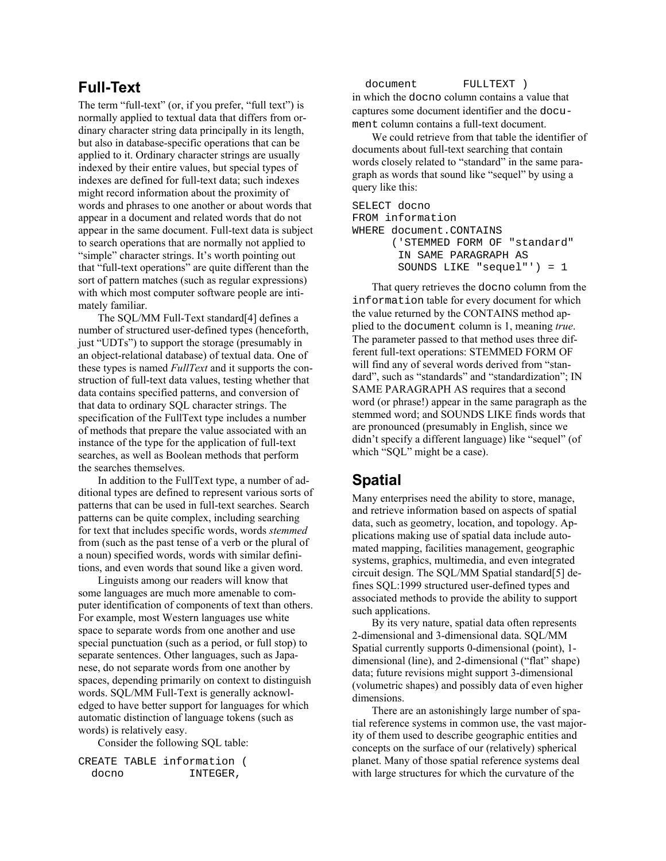# **Full-Text**

The term "full-text" (or, if you prefer, "full text") is normally applied to textual data that differs from ordinary character string data principally in its length, but also in database-specific operations that can be applied to it. Ordinary character strings are usually indexed by their entire values, but special types of indexes are defined for full-text data; such indexes might record information about the proximity of words and phrases to one another or about words that appear in a document and related words that do not appear in the same document. Full-text data is subject to search operations that are normally not applied to "simple" character strings. It's worth pointing out that "full-text operations" are quite different than the sort of pattern matches (such as regular expressions) with which most computer software people are intimately familiar.

The SQL/MM Full-Text standard[4] defines a number of structured user-defined types (henceforth, just "UDTs") to support the storage (presumably in an object-relational database) of textual data. One of these types is named *FullText* and it supports the construction of full-text data values, testing whether that data contains specified patterns, and conversion of that data to ordinary SQL character strings. The specification of the FullText type includes a number of methods that prepare the value associated with an instance of the type for the application of full-text searches, as well as Boolean methods that perform the searches themselves.

In addition to the FullText type, a number of additional types are defined to represent various sorts of patterns that can be used in full-text searches. Search patterns can be quite complex, including searching for text that includes specific words, words *stemmed* from (such as the past tense of a verb or the plural of a noun) specified words, words with similar definitions, and even words that sound like a given word.

Linguists among our readers will know that some languages are much more amenable to computer identification of components of text than others. For example, most Western languages use white space to separate words from one another and use special punctuation (such as a period, or full stop) to separate sentences. Other languages, such as Japanese, do not separate words from one another by spaces, depending primarily on context to distinguish words. SQL/MM Full-Text is generally acknowledged to have better support for languages for which automatic distinction of language tokens (such as words) is relatively easy.

Consider the following SQL table:

CREATE TABLE information ( docno INTEGER,

#### document FULLTEXT )

in which the docno column contains a value that captures some document identifier and the document column contains a full-text document.

We could retrieve from that table the identifier of documents about full-text searching that contain words closely related to "standard" in the same paragraph as words that sound like "sequel" by using a query like this:

SELECT docno FROM information WHERE document.CONTAINS ('STEMMED FORM OF "standard" IN SAME PARAGRAPH AS SOUNDS LIKE "sequel"') = 1

That query retrieves the docno column from the information table for every document for which the value returned by the CONTAINS method applied to the document column is 1, meaning *true*. The parameter passed to that method uses three different full-text operations: STEMMED FORM OF will find any of several words derived from "standard", such as "standards" and "standardization"; IN SAME PARAGRAPH AS requires that a second word (or phrase!) appear in the same paragraph as the stemmed word; and SOUNDS LIKE finds words that are pronounced (presumably in English, since we didn't specify a different language) like "sequel" (of which "SQL" might be a case).

## **Spatial**

Many enterprises need the ability to store, manage, and retrieve information based on aspects of spatial data, such as geometry, location, and topology. Applications making use of spatial data include automated mapping, facilities management, geographic systems, graphics, multimedia, and even integrated circuit design. The SQL/MM Spatial standard[5] defines SQL:1999 structured user-defined types and associated methods to provide the ability to support such applications.

By its very nature, spatial data often represents 2-dimensional and 3-dimensional data. SQL/MM Spatial currently supports 0-dimensional (point), 1 dimensional (line), and 2-dimensional ("flat" shape) data; future revisions might support 3-dimensional (volumetric shapes) and possibly data of even higher dimensions.

There are an astonishingly large number of spatial reference systems in common use, the vast majority of them used to describe geographic entities and concepts on the surface of our (relatively) spherical planet. Many of those spatial reference systems deal with large structures for which the curvature of the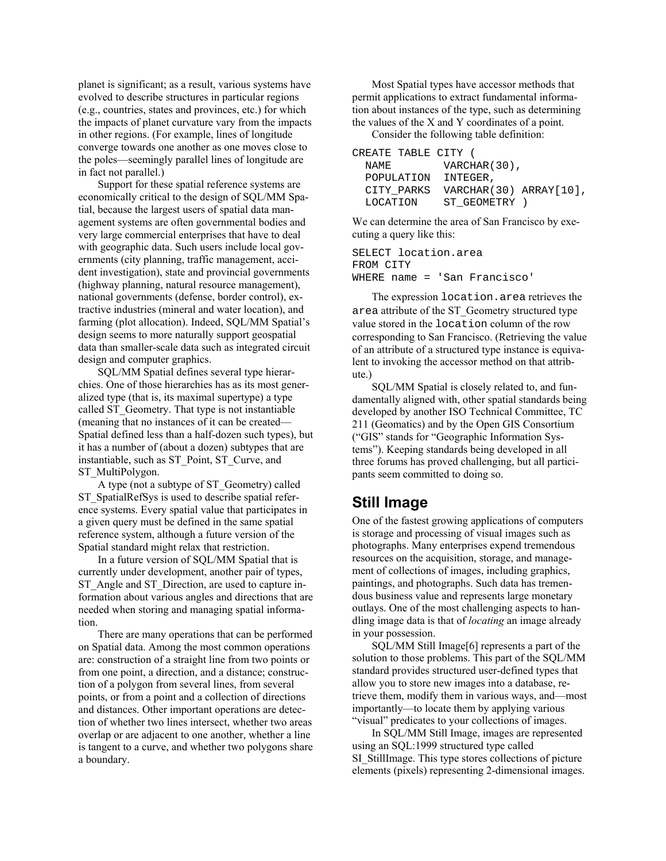planet is significant; as a result, various systems have evolved to describe structures in particular regions (e.g., countries, states and provinces, etc.) for which the impacts of planet curvature vary from the impacts in other regions. (For example, lines of longitude converge towards one another as one moves close to the poles—seemingly parallel lines of longitude are in fact not parallel.)

Support for these spatial reference systems are economically critical to the design of SQL/MM Spatial, because the largest users of spatial data management systems are often governmental bodies and very large commercial enterprises that have to deal with geographic data. Such users include local governments (city planning, traffic management, accident investigation), state and provincial governments (highway planning, natural resource management), national governments (defense, border control), extractive industries (mineral and water location), and farming (plot allocation). Indeed, SQL/MM Spatial's design seems to more naturally support geospatial data than smaller-scale data such as integrated circuit design and computer graphics.

SQL/MM Spatial defines several type hierarchies. One of those hierarchies has as its most generalized type (that is, its maximal supertype) a type called ST\_Geometry. That type is not instantiable (meaning that no instances of it can be created— Spatial defined less than a half-dozen such types), but it has a number of (about a dozen) subtypes that are instantiable, such as ST\_Point, ST\_Curve, and ST\_MultiPolygon.

A type (not a subtype of ST\_Geometry) called ST\_SpatialRefSys is used to describe spatial reference systems. Every spatial value that participates in a given query must be defined in the same spatial reference system, although a future version of the Spatial standard might relax that restriction.

In a future version of SQL/MM Spatial that is currently under development, another pair of types, ST\_Angle and ST\_Direction, are used to capture information about various angles and directions that are needed when storing and managing spatial information.

There are many operations that can be performed on Spatial data. Among the most common operations are: construction of a straight line from two points or from one point, a direction, and a distance; construction of a polygon from several lines, from several points, or from a point and a collection of directions and distances. Other important operations are detection of whether two lines intersect, whether two areas overlap or are adjacent to one another, whether a line is tangent to a curve, and whether two polygons share a boundary.

Most Spatial types have accessor methods that permit applications to extract fundamental information about instances of the type, such as determining the values of the X and Y coordinates of a point.

Consider the following table definition:

| CREATE TABLE CITY ( |                                   |  |
|---------------------|-----------------------------------|--|
| NAMF.               | VARCHAR (30),                     |  |
| POPULATION INTEGER, |                                   |  |
|                     | CITY PARKS VARCHAR(30) ARRAY[10], |  |
| LOCATION            | ST GEOMETRY )                     |  |

We can determine the area of San Francisco by executing a query like this:

SELECT location.area FROM CITY WHERE name = 'San Francisco'

The expression location.area retrieves the area attribute of the ST\_Geometry structured type value stored in the location column of the row corresponding to San Francisco. (Retrieving the value of an attribute of a structured type instance is equivalent to invoking the accessor method on that attribute.)

SQL/MM Spatial is closely related to, and fundamentally aligned with, other spatial standards being developed by another ISO Technical Committee, TC 211 (Geomatics) and by the Open GIS Consortium ("GIS" stands for "Geographic Information Systems"). Keeping standards being developed in all three forums has proved challenging, but all participants seem committed to doing so.

### **Still Image**

One of the fastest growing applications of computers is storage and processing of visual images such as photographs. Many enterprises expend tremendous resources on the acquisition, storage, and management of collections of images, including graphics, paintings, and photographs. Such data has tremendous business value and represents large monetary outlays. One of the most challenging aspects to handling image data is that of *locating* an image already in your possession.

SQL/MM Still Image[6] represents a part of the solution to those problems. This part of the SQL/MM standard provides structured user-defined types that allow you to store new images into a database, retrieve them, modify them in various ways, and—most importantly—to locate them by applying various "visual" predicates to your collections of images.

In SQL/MM Still Image, images are represented using an SQL:1999 structured type called SI StillImage. This type stores collections of picture elements (pixels) representing 2-dimensional images.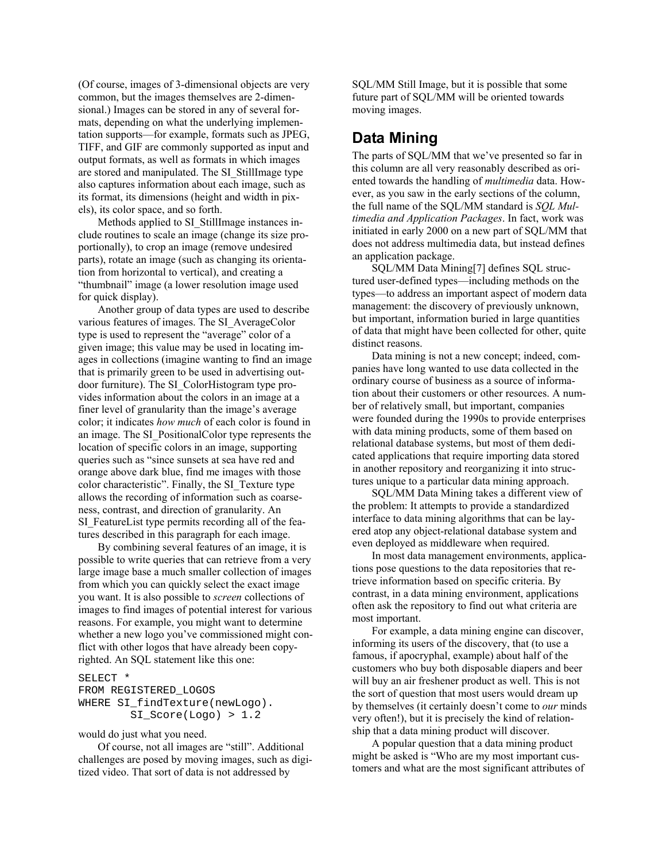(Of course, images of 3-dimensional objects are very common, but the images themselves are 2-dimensional.) Images can be stored in any of several formats, depending on what the underlying implementation supports—for example, formats such as JPEG, TIFF, and GIF are commonly supported as input and output formats, as well as formats in which images are stored and manipulated. The SI\_StillImage type also captures information about each image, such as its format, its dimensions (height and width in pixels), its color space, and so forth.

Methods applied to SI\_StillImage instances include routines to scale an image (change its size proportionally), to crop an image (remove undesired parts), rotate an image (such as changing its orientation from horizontal to vertical), and creating a "thumbnail" image (a lower resolution image used for quick display).

Another group of data types are used to describe various features of images. The SI\_AverageColor type is used to represent the "average" color of a given image; this value may be used in locating images in collections (imagine wanting to find an image that is primarily green to be used in advertising outdoor furniture). The SI\_ColorHistogram type provides information about the colors in an image at a finer level of granularity than the image's average color; it indicates *how much* of each color is found in an image. The SI\_PositionalColor type represents the location of specific colors in an image, supporting queries such as "since sunsets at sea have red and orange above dark blue, find me images with those color characteristic". Finally, the SI\_Texture type allows the recording of information such as coarseness, contrast, and direction of granularity. An SI FeatureList type permits recording all of the features described in this paragraph for each image.

By combining several features of an image, it is possible to write queries that can retrieve from a very large image base a much smaller collection of images from which you can quickly select the exact image you want. It is also possible to *screen* collections of images to find images of potential interest for various reasons. For example, you might want to determine whether a new logo you've commissioned might conflict with other logos that have already been copyrighted. An SQL statement like this one:

#### SELECT \* FROM REGISTERED\_LOGOS WHERE SI findTexture(newLogo). SI\_Score(Logo) > 1.2

would do just what you need.

Of course, not all images are "still". Additional challenges are posed by moving images, such as digitized video. That sort of data is not addressed by

SQL/MM Still Image, but it is possible that some future part of SQL/MM will be oriented towards moving images.

# **Data Mining**

The parts of SQL/MM that we've presented so far in this column are all very reasonably described as oriented towards the handling of *multimedia* data. However, as you saw in the early sections of the column, the full name of the SQL/MM standard is *SQL Multimedia and Application Packages*. In fact, work was initiated in early 2000 on a new part of SQL/MM that does not address multimedia data, but instead defines an application package.

SQL/MM Data Mining[7] defines SQL structured user-defined types—including methods on the types—to address an important aspect of modern data management: the discovery of previously unknown, but important, information buried in large quantities of data that might have been collected for other, quite distinct reasons.

Data mining is not a new concept; indeed, companies have long wanted to use data collected in the ordinary course of business as a source of information about their customers or other resources. A number of relatively small, but important, companies were founded during the 1990s to provide enterprises with data mining products, some of them based on relational database systems, but most of them dedicated applications that require importing data stored in another repository and reorganizing it into structures unique to a particular data mining approach.

SQL/MM Data Mining takes a different view of the problem: It attempts to provide a standardized interface to data mining algorithms that can be layered atop any object-relational database system and even deployed as middleware when required.

In most data management environments, applications pose questions to the data repositories that retrieve information based on specific criteria. By contrast, in a data mining environment, applications often ask the repository to find out what criteria are most important.

For example, a data mining engine can discover, informing its users of the discovery, that (to use a famous, if apocryphal, example) about half of the customers who buy both disposable diapers and beer will buy an air freshener product as well. This is not the sort of question that most users would dream up by themselves (it certainly doesn't come to *our* minds very often!), but it is precisely the kind of relationship that a data mining product will discover.

A popular question that a data mining product might be asked is "Who are my most important customers and what are the most significant attributes of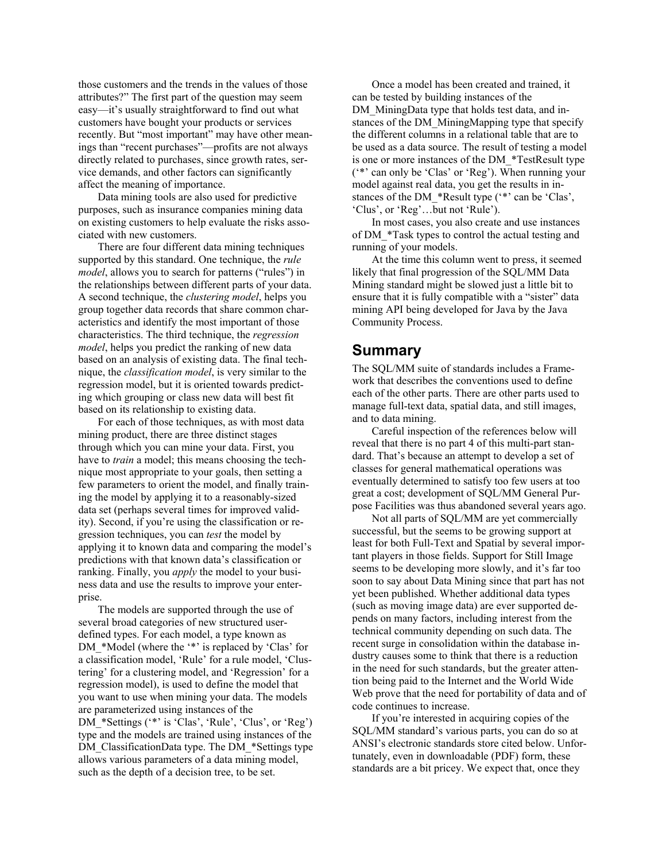those customers and the trends in the values of those attributes?" The first part of the question may seem easy—it's usually straightforward to find out what customers have bought your products or services recently. But "most important" may have other meanings than "recent purchases"—profits are not always directly related to purchases, since growth rates, service demands, and other factors can significantly affect the meaning of importance.

Data mining tools are also used for predictive purposes, such as insurance companies mining data on existing customers to help evaluate the risks associated with new customers.

There are four different data mining techniques supported by this standard. One technique, the *rule model*, allows you to search for patterns ("rules") in the relationships between different parts of your data. A second technique, the *clustering model*, helps you group together data records that share common characteristics and identify the most important of those characteristics. The third technique, the *regression model*, helps you predict the ranking of new data based on an analysis of existing data. The final technique, the *classification model*, is very similar to the regression model, but it is oriented towards predicting which grouping or class new data will best fit based on its relationship to existing data.

For each of those techniques, as with most data mining product, there are three distinct stages through which you can mine your data. First, you have to *train* a model; this means choosing the technique most appropriate to your goals, then setting a few parameters to orient the model, and finally training the model by applying it to a reasonably-sized data set (perhaps several times for improved validity). Second, if you're using the classification or regression techniques, you can *test* the model by applying it to known data and comparing the model's predictions with that known data's classification or ranking. Finally, you *apply* the model to your business data and use the results to improve your enterprise.

The models are supported through the use of several broad categories of new structured userdefined types. For each model, a type known as DM \*Model (where the '\*' is replaced by 'Clas' for a classification model, 'Rule' for a rule model, 'Clustering' for a clustering model, and 'Regression' for a regression model), is used to define the model that you want to use when mining your data. The models are parameterized using instances of the DM\_\*Settings ('\*' is 'Clas', 'Rule', 'Clus', or 'Reg') type and the models are trained using instances of the DM\_ClassificationData type. The DM\_\*Settings type allows various parameters of a data mining model, such as the depth of a decision tree, to be set.

Once a model has been created and trained, it can be tested by building instances of the DM MiningData type that holds test data, and instances of the DM\_MiningMapping type that specify the different columns in a relational table that are to be used as a data source. The result of testing a model is one or more instances of the DM\_\*TestResult type ('\*' can only be 'Clas' or 'Reg'). When running your model against real data, you get the results in instances of the DM \*Result type ('\*' can be 'Clas', 'Clus', or 'Reg'…but not 'Rule').

In most cases, you also create and use instances of DM\_\*Task types to control the actual testing and running of your models.

At the time this column went to press, it seemed likely that final progression of the SQL/MM Data Mining standard might be slowed just a little bit to ensure that it is fully compatible with a "sister" data mining API being developed for Java by the Java Community Process.

### **Summary**

The SQL/MM suite of standards includes a Framework that describes the conventions used to define each of the other parts. There are other parts used to manage full-text data, spatial data, and still images, and to data mining.

Careful inspection of the references below will reveal that there is no part 4 of this multi-part standard. That's because an attempt to develop a set of classes for general mathematical operations was eventually determined to satisfy too few users at too great a cost; development of SQL/MM General Purpose Facilities was thus abandoned several years ago.

Not all parts of SQL/MM are yet commercially successful, but the seems to be growing support at least for both Full-Text and Spatial by several important players in those fields. Support for Still Image seems to be developing more slowly, and it's far too soon to say about Data Mining since that part has not yet been published. Whether additional data types (such as moving image data) are ever supported depends on many factors, including interest from the technical community depending on such data. The recent surge in consolidation within the database industry causes some to think that there is a reduction in the need for such standards, but the greater attention being paid to the Internet and the World Wide Web prove that the need for portability of data and of code continues to increase.

If you're interested in acquiring copies of the SQL/MM standard's various parts, you can do so at ANSI's electronic standards store cited below. Unfortunately, even in downloadable (PDF) form, these standards are a bit pricey. We expect that, once they